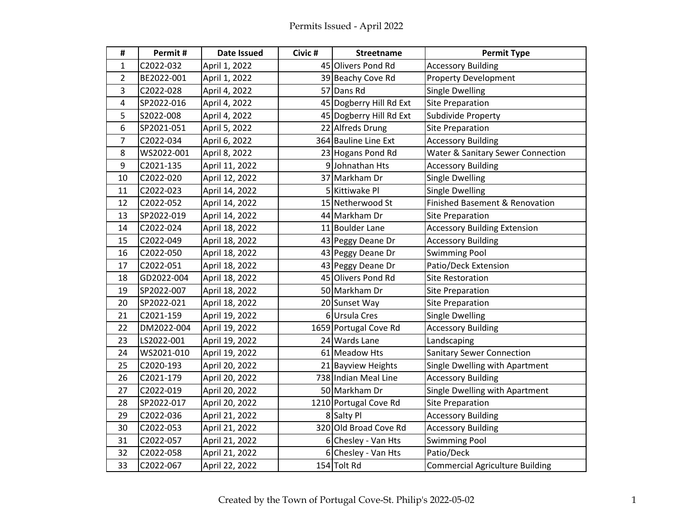| $\pmb{\sharp}$ | Permit#    | <b>Date Issued</b> | Civic # | <b>Streetname</b>       | <b>Permit Type</b>                     |
|----------------|------------|--------------------|---------|-------------------------|----------------------------------------|
| 1              | C2022-032  | April 1, 2022      |         | 45 Olivers Pond Rd      | <b>Accessory Building</b>              |
| $\overline{2}$ | BE2022-001 | April 1, 2022      |         | 39 Beachy Cove Rd       | <b>Property Development</b>            |
| 3              | C2022-028  | April 4, 2022      |         | 57 Dans Rd              | <b>Single Dwelling</b>                 |
| 4              | SP2022-016 | April 4, 2022      |         | 45 Dogberry Hill Rd Ext | <b>Site Preparation</b>                |
| 5              | S2022-008  | April 4, 2022      |         | 45 Dogberry Hill Rd Ext | Subdivide Property                     |
| 6              | SP2021-051 | April 5, 2022      |         | 22 Alfreds Drung        | <b>Site Preparation</b>                |
| $\overline{7}$ | C2022-034  | April 6, 2022      |         | 364 Bauline Line Ext    | <b>Accessory Building</b>              |
| 8              | WS2022-001 | April 8, 2022      |         | 23 Hogans Pond Rd       | Water & Sanitary Sewer Connection      |
| 9              | C2021-135  | April 11, 2022     |         | 9Johnathan Hts          | <b>Accessory Building</b>              |
| 10             | C2022-020  | April 12, 2022     |         | 37 Markham Dr           | <b>Single Dwelling</b>                 |
| 11             | C2022-023  | April 14, 2022     |         | 5 Kittiwake Pl          | <b>Single Dwelling</b>                 |
| 12             | C2022-052  | April 14, 2022     |         | 15 Netherwood St        | Finished Basement & Renovation         |
| 13             | SP2022-019 | April 14, 2022     |         | 44 Markham Dr           | <b>Site Preparation</b>                |
| 14             | C2022-024  | April 18, 2022     |         | 11 Boulder Lane         | <b>Accessory Building Extension</b>    |
| 15             | C2022-049  | April 18, 2022     |         | 43 Peggy Deane Dr       | <b>Accessory Building</b>              |
| 16             | C2022-050  | April 18, 2022     |         | 43 Peggy Deane Dr       | <b>Swimming Pool</b>                   |
| 17             | C2022-051  | April 18, 2022     |         | 43 Peggy Deane Dr       | Patio/Deck Extension                   |
| 18             | GD2022-004 | April 18, 2022     |         | 45 Olivers Pond Rd      | <b>Site Restoration</b>                |
| 19             | SP2022-007 | April 18, 2022     |         | 50 Markham Dr           | <b>Site Preparation</b>                |
| 20             | SP2022-021 | April 18, 2022     |         | 20 Sunset Way           | <b>Site Preparation</b>                |
| 21             | C2021-159  | April 19, 2022     |         | 6Ursula Cres            | <b>Single Dwelling</b>                 |
| 22             | DM2022-004 | April 19, 2022     |         | 1659 Portugal Cove Rd   | <b>Accessory Building</b>              |
| 23             | LS2022-001 | April 19, 2022     |         | 24 Wards Lane           | Landscaping                            |
| 24             | WS2021-010 | April 19, 2022     |         | 61 Meadow Hts           | <b>Sanitary Sewer Connection</b>       |
| 25             | C2020-193  | April 20, 2022     |         | 21 Bayview Heights      | Single Dwelling with Apartment         |
| 26             | C2021-179  | April 20, 2022     |         | 738 Indian Meal Line    | <b>Accessory Building</b>              |
| 27             | C2022-019  | April 20, 2022     |         | 50 Markham Dr           | Single Dwelling with Apartment         |
| 28             | SP2022-017 | April 20, 2022     |         | 1210 Portugal Cove Rd   | <b>Site Preparation</b>                |
| 29             | C2022-036  | April 21, 2022     |         | 8 Salty Pl              | <b>Accessory Building</b>              |
| 30             | C2022-053  | April 21, 2022     |         | 320 Old Broad Cove Rd   | <b>Accessory Building</b>              |
| 31             | C2022-057  | April 21, 2022     |         | 6 Chesley - Van Hts     | <b>Swimming Pool</b>                   |
| 32             | C2022-058  | April 21, 2022     |         | 6 Chesley - Van Hts     | Patio/Deck                             |
| 33             | C2022-067  | April 22, 2022     |         | 154 Tolt Rd             | <b>Commercial Agriculture Building</b> |